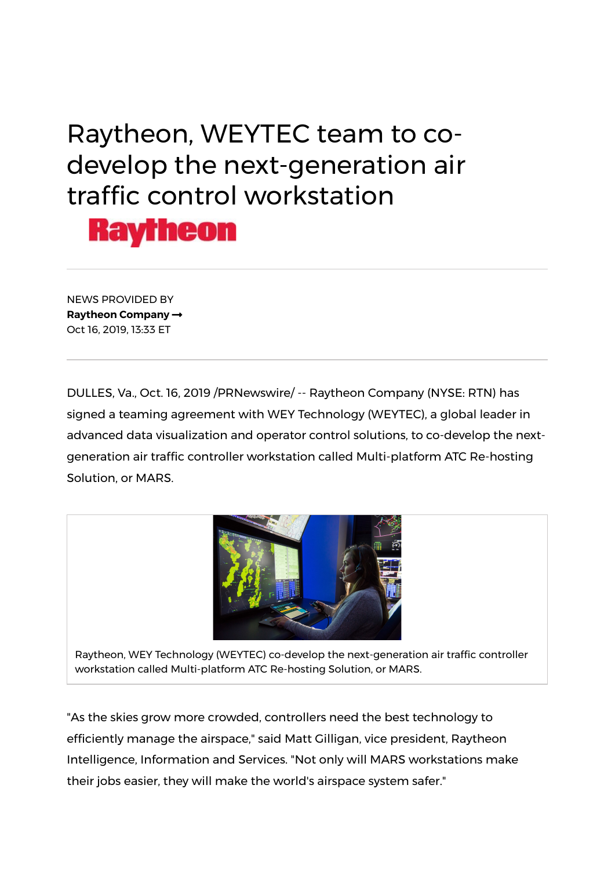## Raytheon, WEYTEC team to codevelop the next-generation air traffic control workstation



NEWS PROVIDED BY Raytheon Company Oct 16, 2019, 13:33 ET

DULLES, Va., Oct. 16, 2019 /PRNewswire/ -- Raytheon Company (NYSE: RTN) has signed a teaming agreement with WEY Technology (WEYTEC), a global leader in advanced data visualization and operator control solutions, to co-develop the nextgeneration air traffic controller workstation called Multi-platform ATC Re-hosting Solution, or MARS.



Raytheon, WEY Technology (WEYTEC) co-develop the next-generation air traffic controller workstation called Multi-platform ATC Re-hosting Solution, or MARS.

"As the skies grow more crowded, controllers need the best technology to efficiently manage the airspace," said Matt Gilligan, vice president, Raytheon Intelligence, Information and Services. "Not only will MARS workstations make their jobs easier, they will make the world's airspace system safer."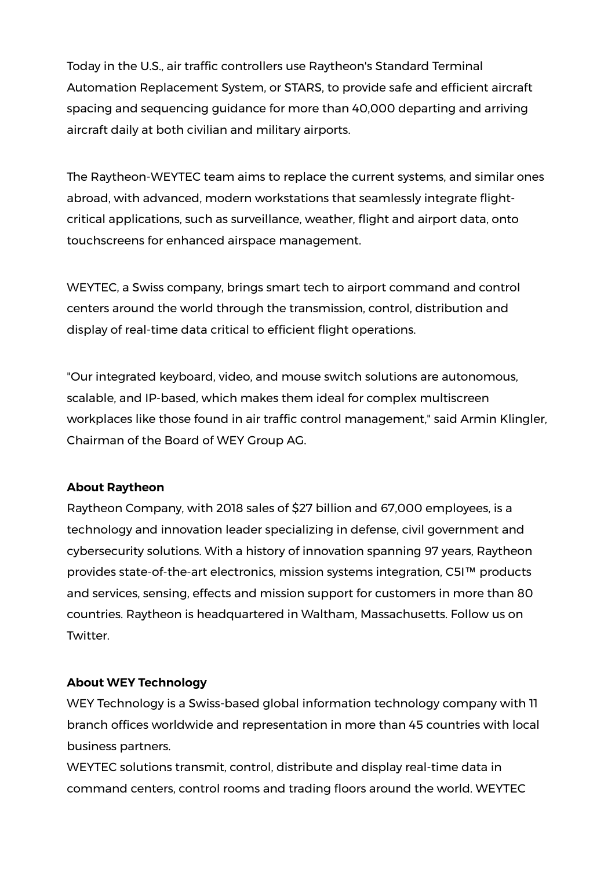Today in the U.S., air traffic controllers use Raytheon's Standard Terminal Automation Replacement System, or STARS, to provide safe and efficient aircraft spacing and sequencing guidance for more than 40,000 departing and arriving aircraft daily at both civilian and military airports.

The Raytheon-WEYTEC team aims to replace the current systems, and similar ones abroad, with advanced, modern workstations that seamlessly integrate flightcritical applications, such as surveillance, weather, flight and airport data, onto touchscreens for enhanced airspace management.

WEYTEC, a Swiss company, brings smart tech to airport command and control centers around the world through the transmission, control, distribution and display of real-time data critical to efficient flight operations.

"Our integrated keyboard, video, and mouse switch solutions are autonomous, scalable, and IP-based, which makes them ideal for complex multiscreen workplaces like those found in air traffic control management," said Armin Klingler, Chairman of the Board of WEY Group AG.

## About Raytheon

Raytheon Company, with 2018 sales of \$27 billion and 67,000 employees, is a technology and innovation leader specializing in defense, civil government and cybersecurity solutions. With a history of innovation spanning 97 years, Raytheon provides state-of-the-art electronics, mission systems integration, C5I™ products and services, sensing, effects and mission support for customers in more than 80 countries. Raytheon is headquartered in Waltham, Massachusetts. Follow us on Twitter.

## About WEY Technology

WEY Technology is a Swiss-based global information technology company with 11 branch offices worldwide and representation in more than 45 countries with local business partners.

WEYTEC solutions transmit, control, distribute and display real-time data in command centers, control rooms and trading floors around the world. WEYTEC